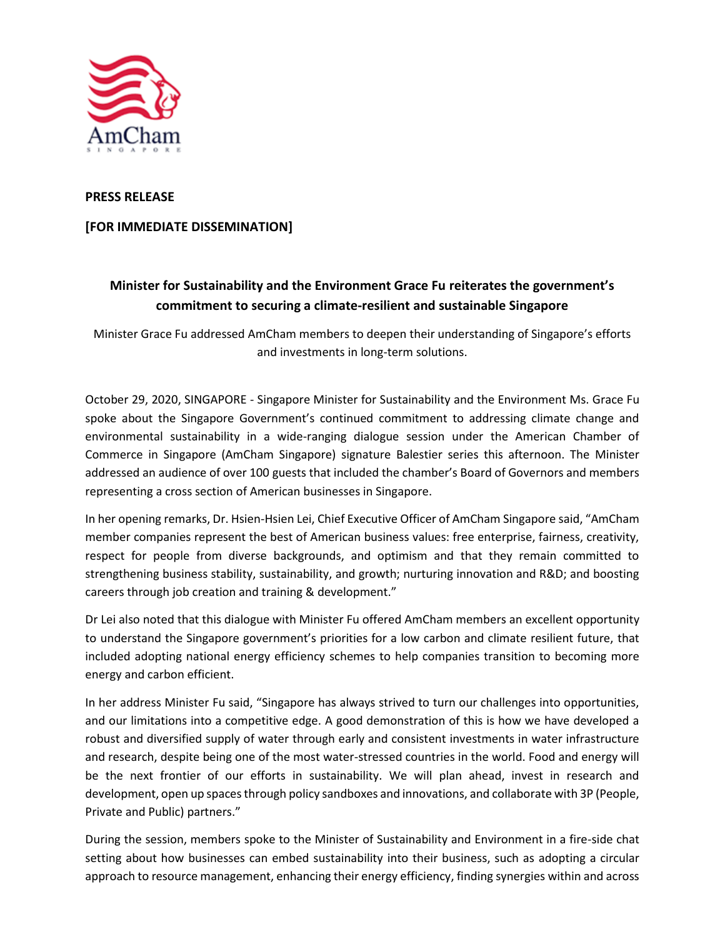

## **PRESS RELEASE**

## **[FOR IMMEDIATE DISSEMINATION]**

## **Minister for Sustainability and the Environment Grace Fu reiterates the government's commitment to securing a climate-resilient and sustainable Singapore**

Minister Grace Fu addressed AmCham members to deepen their understanding of Singapore's efforts and investments in long-term solutions.

October 29, 2020, SINGAPORE - Singapore Minister for Sustainability and the Environment Ms. Grace Fu spoke about the Singapore Government's continued commitment to addressing climate change and environmental sustainability in a wide-ranging dialogue session under the American Chamber of Commerce in Singapore (AmCham Singapore) signature Balestier series this afternoon. The Minister addressed an audience of over 100 guests that included the chamber's Board of Governors and members representing a cross section of American businesses in Singapore.

In her opening remarks, Dr. Hsien-Hsien Lei, Chief Executive Officer of AmCham Singapore said, "AmCham member companies represent the best of American business values: free enterprise, fairness, creativity, respect for people from diverse backgrounds, and optimism and that they remain committed to strengthening business stability, sustainability, and growth; nurturing innovation and R&D; and boosting careers through job creation and training & development."

Dr Lei also noted that this dialogue with Minister Fu offered AmCham members an excellent opportunity to understand the Singapore government's priorities for a low carbon and climate resilient future, that included adopting national energy efficiency schemes to help companies transition to becoming more energy and carbon efficient.

In her address Minister Fu said, "Singapore has always strived to turn our challenges into opportunities, and our limitations into a competitive edge. A good demonstration of this is how we have developed a robust and diversified supply of water through early and consistent investments in water infrastructure and research, despite being one of the most water-stressed countries in the world. Food and energy will be the next frontier of our efforts in sustainability. We will plan ahead, invest in research and development, open up spaces through policy sandboxes and innovations, and collaborate with 3P (People, Private and Public) partners."

During the session, members spoke to the Minister of Sustainability and Environment in a fire-side chat setting about how businesses can embed sustainability into their business, such as adopting a circular approach to resource management, enhancing their energy efficiency, finding synergies within and across